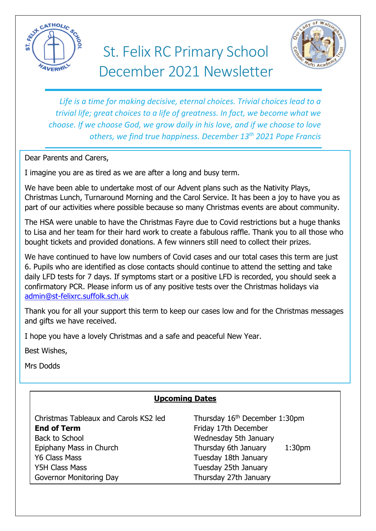

# St. Felix RC Primary School December 2021 Newsletter



*Life is a time for making decisive, eternal choices. Trivial choices lead to a trivial life; great choices to a life of greatness. In fact, we become what we choose. If we choose God, we grow daily in his love, and if we choose to love others, we find true happiness. December 13th 2021 Pope Francis*

Dear Parents and Carers,

I imagine you are as tired as we are after a long and busy term.

We have been able to undertake most of our Advent plans such as the Nativity Plays, Christmas Lunch, Turnaround Morning and the Carol Service. It has been a joy to have you as part of our activities where possible because so many Christmas events are about community.

The HSA were unable to have the Christmas Fayre due to Covid restrictions but a huge thanks to Lisa and her team for their hard work to create a fabulous raffle. Thank you to all those who bought tickets and provided donations. A few winners still need to collect their prizes.

We have continued to have low numbers of Covid cases and our total cases this term are just 6. Pupils who are identified as close contacts should continue to attend the setting and take daily LFD tests for 7 days. If symptoms start or a positive LFD is recorded, you should seek a confirmatory PCR. Please inform us of any positive tests over the Christmas holidays via [admin@st-felixrc.suffolk.sch.uk](mailto:admin@st-felixrc.suffolk.sch.uk)

Thank you for all your support this term to keep our cases low and for the Christmas messages and gifts we have received.

I hope you have a lovely Christmas and a safe and peaceful New Year.

Best Wishes,

Mrs Dodds

# **Upcoming Dates**

Christmas Tableaux and Carols KS2 led Thursday 16<sup>th</sup> December 1:30pm **End of Term** Friday 17th December Back to School News and Wednesday 5th January Epiphany Mass in Church Thursday 6th January 1:30pm Y6 Class Mass Tuesday 18th January Y5H Class Mass Tuesday 25th January Governor Monitoring Day Thursday 27th January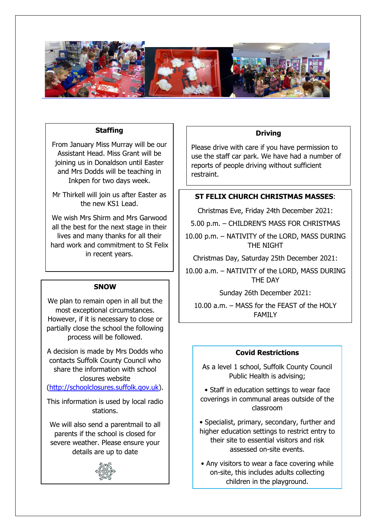

#### **Staffing**

From January Miss Murray will be our Assistant Head. Miss Grant will be joining us in Donaldson until Easter and Mrs Dodds will be teaching in Inkpen for two days week.

Mr Thirkell will join us after Easter as the new KS1 Lead.

We wish Mrs Shirm and Mrs Garwood all the best for the next stage in their lives and many thanks for all their hard work and commitment to St Felix in recent years.

#### **SNOW**

We plan to remain open in all but the most exceptional circumstances. However, if it is necessary to close or partially close the school the following process will be followed.

A decision is made by Mrs Dodds who contacts Suffolk County Council who share the information with school closures website

[\(http://schoolclosures.suffolk.gov.uk\)](http://schoolclosures.suffolk.gov.uk/).

This information is used by local radio stations.

We will also send a parentmail to all parents if the school is closed for severe weather. Please ensure your details are up to date



#### **Driving**

Please drive with care if you have permission to use the staff car park. We have had a number of reports of people driving without sufficient restraint.

### **ST FELIX CHURCH CHRISTMAS MASSES**:

Christmas Eve, Friday 24th December 2021:

5.00 p.m. – CHILDREN'S MASS FOR CHRISTMAS

10.00 p.m. – NATIVITY of the LORD, MASS DURING THE NIGHT

Christmas Day, Saturday 25th December 2021:

10.00 a.m. – NATIVITY of the LORD, MASS DURING THE DAY

Sunday 26th December 2021:

10.00 a.m. – MASS for the FEAST of the HOLY FAMILY

#### **Covid Restrictions**

As a level 1 school, Suffolk County Council Public Health is advising;

• Staff in education settings to wear face coverings in communal areas outside of the classroom

• Specialist, primary, secondary, further and higher education settings to restrict entry to their site to essential visitors and risk assessed on-site events.

• Any visitors to wear a face covering while on-site, this includes adults collecting children in the playground.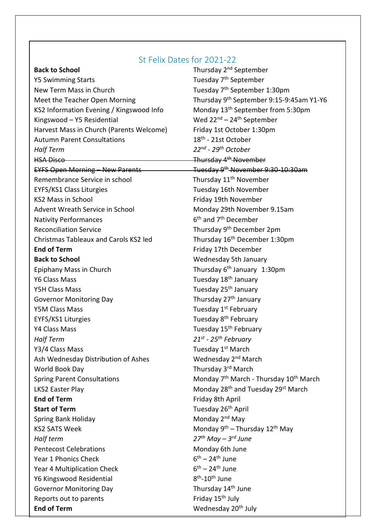## St Felix Dates for 2021-22

Y5 Swimming Starts Tuesday 7<sup>th</sup> September New Term Mass in Church Tuesday 7<sup>th</sup> September 1:30pm KS2 Information Evening / Kingswood Info Monday 13<sup>th</sup> September from 5:30pm Kingswood – Y5 Residential Wed 22<sup>nd</sup> – 24<sup>th</sup> September Harvest Mass in Church (Parents Welcome) Friday 1st October 1:30pm Autumn Parent Consultations *Half Term* HSA Disco Thursday 4<sup>th</sup> November EYFS Open Morning – New Parents Tuesday 9th November 9:30-10:30am Remembrance Service in school Thursday 11<sup>th</sup> November EYFS/KS1 Class Liturgies Tuesday 16th November KS2 Mass in School **Friday 19th November** Advent Wreath Service in School Monday 29th November 9.15am Nativity Performances 6 Reconciliation Service Thursday 9<sup>th</sup> December 2pm Christmas Tableaux and Carols KS2 led Thursday 16<sup>th</sup> December 1:30pm **End of Term** Friday 17th December **Back to School** Wednesday 5th January Epiphany Mass in Church Y6 Class Mass Tuesday 18<sup>th</sup> January Y5H Class Mass Tuesday 25<sup>th</sup> January Governor Monitoring Day  $\qquad \qquad$  Thursday 27<sup>th</sup> January Y5M Class Mass Tuesday 1<sup>st</sup> February EYFS/KS1 Liturgies Tuesday 8<sup>th</sup> February Y4 Class Mass **Tuesday 15<sup>th</sup> February** *Half Term* Y3/4 Class Mass **Mass** Tuesday 1<sup>st</sup> March Ash Wednesday Distribution of Ashes World Book Day **Thursday 3<sup>rd</sup> March** Spring Parent Consultations LKS2 Easter Play Monday 28<sup>th</sup> and Tuesday 29<sup>st</sup> March **End of Term** Friday 8th April **Start of Term** Spring Bank Holiday Monday 2<sup>nd</sup> May KS2 SATS Week *Half term 27th May – 3 rd June* Pentecost Celebrations **Monday 6th June** Year 1 Phonics Check Year 4 Multiplication Check Y6 Kingswood Residential Governor Monitoring Day Thursday 14<sup>th</sup> June Reports out to parents  $\qquad \qquad$  Friday 15<sup>th</sup> July **End of Term** Wednesday 20<sup>th</sup> July

**Back to School Back to School Thursday 2<sup>nd</sup> September** Meet the Teacher Open Morning Thursday 9<sup>th</sup> September 9:15-9:45am Y1-Y6  $18<sup>th</sup>$  - 21st October *- 29 th October*  $6<sup>th</sup>$  and 7<sup>th</sup> December Thursday  $6<sup>th</sup>$  January 1:30pm *- 25th February* Wednesday 2<sup>nd</sup> March Monday 7<sup>th</sup> March - Thursday 10<sup>th</sup> March Tuesday 26<sup>th</sup> April <sup>th</sup> – Thursday 12<sup>th</sup> May <sup>th</sup> – 24<sup>th</sup> June <sup>th</sup> – 24<sup>th</sup> June <sup>th</sup>-10<sup>th</sup> June